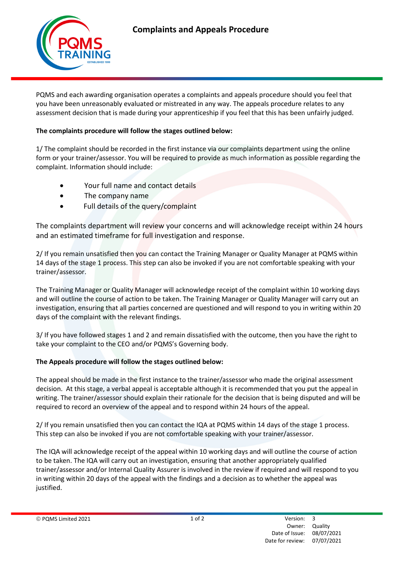

PQMS and each awarding organisation operates a complaints and appeals procedure should you feel that you have been unreasonably evaluated or mistreated in any way. The appeals procedure relates to any assessment decision that is made during your apprenticeship if you feel that this has been unfairly judged.

## The complaints procedure will follow the stages outlined below:

1/ The complaint should be recorded in the first instance via our complaints department using the online form or your trainer/assessor. You will be required to provide as much information as possible regarding the complaint. Information should include:

- Your full name and contact details
- The company name
- Full details of the query/complaint

The complaints department will review your concerns and will acknowledge receipt within 24 hours and an estimated timeframe for full investigation and response.

2/ If you remain unsatisfied then you can contact the Training Manager or Quality Manager at PQMS within 14 days of the stage 1 process. This step can also be invoked if you are not comfortable speaking with your trainer/assessor.

The Training Manager or Quality Manager will acknowledge receipt of the complaint within 10 working days and will outline the course of action to be taken. The Training Manager or Quality Manager will carry out an investigation, ensuring that all parties concerned are questioned and will respond to you in writing within 20 days of the complaint with the relevant findings.

3/ If you have followed stages 1 and 2 and remain dissatisfied with the outcome, then you have the right to take your complaint to the CEO and/or PQMS's Governing body.

## The Appeals procedure will follow the stages outlined below:

The appeal should be made in the first instance to the trainer/assessor who made the original assessment decision. At this stage, a verbal appeal is acceptable although it is recommended that you put the appeal in writing. The trainer/assessor should explain their rationale for the decision that is being disputed and will be required to record an overview of the appeal and to respond within 24 hours of the appeal.

2/ If you remain unsatisfied then you can contact the IQA at PQMS within 14 days of the stage 1 process. This step can also be invoked if you are not comfortable speaking with your trainer/assessor.

The IQA will acknowledge receipt of the appeal within 10 working days and will outline the course of action to be taken. The IQA will carry out an investigation, ensuring that another appropriately qualified trainer/assessor and/or Internal Quality Assurer is involved in the review if required and will respond to you in writing within 20 days of the appeal with the findings and a decision as to whether the appeal was justified.